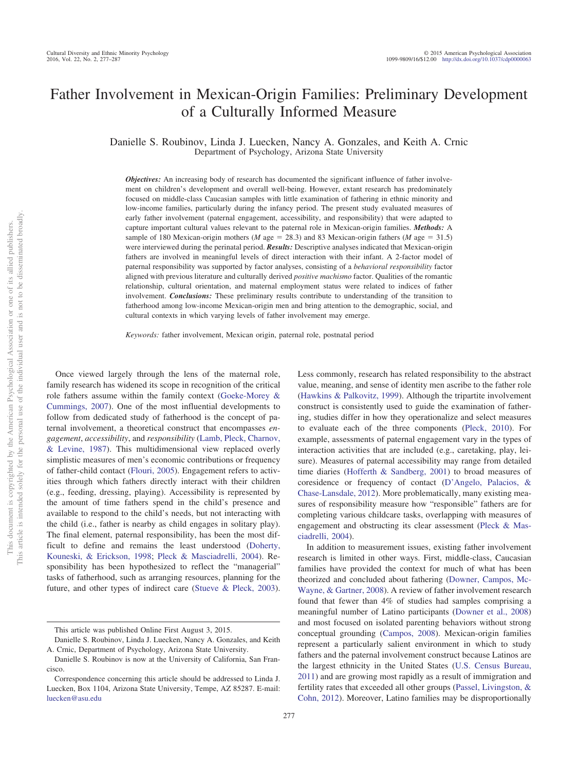# Father Involvement in Mexican-Origin Families: Preliminary Development of a Culturally Informed Measure

Danielle S. Roubinov, Linda J. Luecken, Nancy A. Gonzales, and Keith A. Crnic Department of Psychology, Arizona State University

*Objectives:* An increasing body of research has documented the significant influence of father involvement on children's development and overall well-being. However, extant research has predominately focused on middle-class Caucasian samples with little examination of fathering in ethnic minority and low-income families, particularly during the infancy period. The present study evaluated measures of early father involvement (paternal engagement, accessibility, and responsibility) that were adapted to capture important cultural values relevant to the paternal role in Mexican-origin families. *Methods:* A sample of 180 Mexican-origin mothers (*M* age = 28.3) and 83 Mexican-origin fathers (*M* age = 31.5) were interviewed during the perinatal period. *Results:* Descriptive analyses indicated that Mexican-origin fathers are involved in meaningful levels of direct interaction with their infant. A 2-factor model of paternal responsibility was supported by factor analyses, consisting of a *behavioral responsibility* factor aligned with previous literature and culturally derived *positive machismo* factor. Qualities of the romantic relationship, cultural orientation, and maternal employment status were related to indices of father involvement. *Conclusions:* These preliminary results contribute to understanding of the transition to fatherhood among low-income Mexican-origin men and bring attention to the demographic, social, and cultural contexts in which varying levels of father involvement may emerge.

*Keywords:* father involvement, Mexican origin, paternal role, postnatal period

Once viewed largely through the lens of the maternal role, family research has widened its scope in recognition of the critical role fathers assume within the family context [\(Goeke-Morey &](#page-9-0) [Cummings, 2007\)](#page-9-0). One of the most influential developments to follow from dedicated study of fatherhood is the concept of paternal involvement, a theoretical construct that encompasses *engagement*, *accessibility*, and *responsibility* [\(Lamb, Pleck, Charnov,](#page-10-0) [& Levine, 1987\)](#page-10-0). This multidimensional view replaced overly simplistic measures of men's economic contributions or frequency of father-child contact [\(Flouri, 2005\)](#page-9-1). Engagement refers to activities through which fathers directly interact with their children (e.g., feeding, dressing, playing). Accessibility is represented by the amount of time fathers spend in the child's presence and available to respond to the child's needs, but not interacting with the child (i.e., father is nearby as child engages in solitary play). The final element, paternal responsibility, has been the most difficult to define and remains the least understood [\(Doherty,](#page-9-2) [Kouneski, & Erickson, 1998;](#page-9-2) [Pleck & Masciadrelli, 2004\)](#page-10-1). Responsibility has been hypothesized to reflect the "managerial" tasks of fatherhood, such as arranging resources, planning for the future, and other types of indirect care [\(Stueve & Pleck, 2003\)](#page-10-2).

value, meaning, and sense of identity men ascribe to the father role [\(Hawkins & Palkovitz, 1999\)](#page-9-3). Although the tripartite involvement construct is consistently used to guide the examination of fathering, studies differ in how they operationalize and select measures to evaluate each of the three components [\(Pleck, 2010\)](#page-10-3). For example, assessments of paternal engagement vary in the types of interaction activities that are included (e.g., caretaking, play, leisure). Measures of paternal accessibility may range from detailed time diaries [\(Hofferth & Sandberg, 2001\)](#page-9-4) to broad measures of coresidence or frequency of contact [\(D'Angelo, Palacios, &](#page-9-5) [Chase-Lansdale, 2012\)](#page-9-5). More problematically, many existing measures of responsibility measure how "responsible" fathers are for completing various childcare tasks, overlapping with measures of engagement and obstructing its clear assessment [\(Pleck & Mas](#page-10-1)[ciadrelli, 2004\)](#page-10-1). In addition to measurement issues, existing father involvement

Less commonly, research has related responsibility to the abstract

research is limited in other ways. First, middle-class, Caucasian families have provided the context for much of what has been theorized and concluded about fathering [\(Downer, Campos, Mc-](#page-9-6)[Wayne, & Gartner, 2008\)](#page-9-6). A review of father involvement research found that fewer than 4% of studies had samples comprising a meaningful number of Latino participants [\(Downer et al., 2008\)](#page-9-6) and most focused on isolated parenting behaviors without strong conceptual grounding [\(Campos, 2008\)](#page-9-7). Mexican-origin families represent a particularly salient environment in which to study fathers and the paternal involvement construct because Latinos are the largest ethnicity in the United States [\(U.S. Census Bureau,](#page-10-4) [2011\)](#page-10-4) and are growing most rapidly as a result of immigration and fertility rates that exceeded all other groups [\(Passel, Livingston, &](#page-10-5) [Cohn, 2012\)](#page-10-5). Moreover, Latino families may be disproportionally

This article was published Online First August 3, 2015.

Danielle S. Roubinov, Linda J. Luecken, Nancy A. Gonzales, and Keith A. Crnic, Department of Psychology, Arizona State University.

Danielle S. Roubinov is now at the University of California, San Francisco.

Correspondence concerning this article should be addressed to Linda J. Luecken, Box 1104, Arizona State University, Tempe, AZ 85287. E-mail: [luecken@asu.edu](mailto:luecken@asu.edu)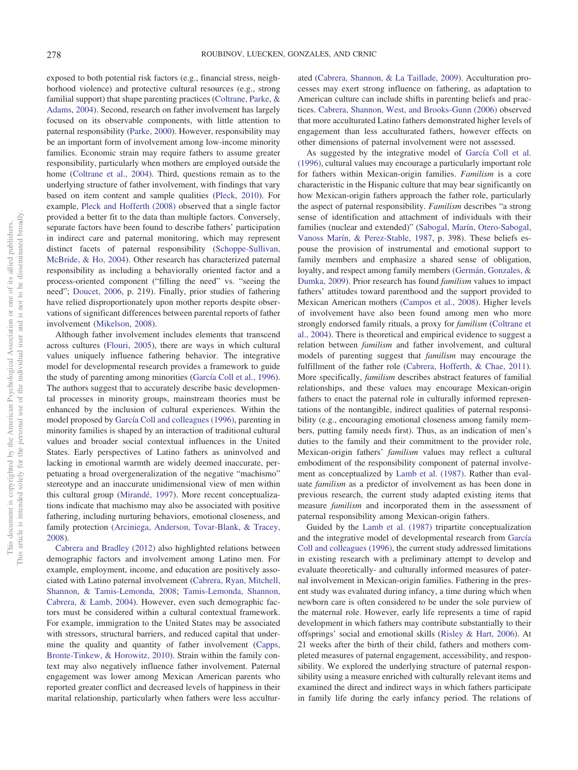exposed to both potential risk factors (e.g., financial stress, neighborhood violence) and protective cultural resources (e.g., strong familial support) that shape parenting practices [\(Coltrane, Parke, &](#page-9-8) [Adams, 2004\)](#page-9-8). Second, research on father involvement has largely focused on its observable components, with little attention to paternal responsibility [\(Parke, 2000\)](#page-10-6). However, responsibility may be an important form of involvement among low-income minority families. Economic strain may require fathers to assume greater responsibility, particularly when mothers are employed outside the home [\(Coltrane et al., 2004\)](#page-9-8). Third, questions remain as to the underlying structure of father involvement, with findings that vary based on item content and sample qualities [\(Pleck, 2010\)](#page-10-3). For example, [Pleck and Hofferth \(2008\)](#page-10-7) observed that a single factor provided a better fit to the data than multiple factors. Conversely, separate factors have been found to describe fathers' participation in indirect care and paternal monitoring, which may represent distinct facets of paternal responsibility [\(Schoppe-Sullivan,](#page-10-8) [McBride, & Ho, 2004\)](#page-10-8). Other research has characterized paternal responsibility as including a behaviorally oriented factor and a process-oriented component ("filling the need" vs. "seeing the need"; [Doucet, 2006,](#page-9-9) p. 219). Finally, prior studies of fathering have relied disproportionately upon mother reports despite observations of significant differences between parental reports of father involvement [\(Mikelson, 2008\)](#page-10-9).

Although father involvement includes elements that transcend across cultures [\(Flouri, 2005\)](#page-9-1), there are ways in which cultural values uniquely influence fathering behavior. The integrative model for developmental research provides a framework to guide the study of parenting among minorities [\(García Coll et al., 1996\)](#page-9-10). The authors suggest that to accurately describe basic developmental processes in minority groups, mainstream theories must be enhanced by the inclusion of cultural experiences. Within the model proposed by [García Coll and colleagues \(1996\),](#page-9-10) parenting in minority families is shaped by an interaction of traditional cultural values and broader social contextual influences in the United States. Early perspectives of Latino fathers as uninvolved and lacking in emotional warmth are widely deemed inaccurate, perpetuating a broad overgeneralization of the negative "machismo" stereotype and an inaccurate unidimensional view of men within this cultural group [\(Mirandé, 1997\)](#page-10-10). More recent conceptualizations indicate that machismo may also be associated with positive fathering, including nurturing behaviors, emotional closeness, and family protection [\(Arciniega, Anderson, Tovar-Blank, & Tracey,](#page-9-11) [2008\)](#page-9-11).

[Cabrera and Bradley \(2012\)](#page-9-12) also highlighted relations between demographic factors and involvement among Latino men. For example, employment, income, and education are positively associated with Latino paternal involvement [\(Cabrera, Ryan, Mitchell,](#page-9-13) [Shannon, & Tamis-Lemonda, 2008;](#page-9-13) [Tamis-Lemonda, Shannon,](#page-10-11) [Cabrera, & Lamb, 2004\)](#page-10-11). However, even such demographic factors must be considered within a cultural contextual framework. For example, immigration to the United States may be associated with stressors, structural barriers, and reduced capital that undermine the quality and quantity of father involvement [\(Capps,](#page-9-14) [Bronte-Tinkew, & Horowitz, 2010\)](#page-9-14). Strain within the family context may also negatively influence father involvement. Paternal engagement was lower among Mexican American parents who reported greater conflict and decreased levels of happiness in their marital relationship, particularly when fathers were less acculturated [\(Cabrera, Shannon, & La Taillade, 2009\)](#page-9-15). Acculturation processes may exert strong influence on fathering, as adaptation to American culture can include shifts in parenting beliefs and practices. [Cabrera, Shannon, West, and Brooks-Gunn \(2006\)](#page-9-16) observed that more acculturated Latino fathers demonstrated higher levels of engagement than less acculturated fathers, however effects on other dimensions of paternal involvement were not assessed.

As suggested by the integrative model of [García Coll et al.](#page-9-10) [\(1996\),](#page-9-10) cultural values may encourage a particularly important role for fathers within Mexican-origin families. *Familism* is a core characteristic in the Hispanic culture that may bear significantly on how Mexican-origin fathers approach the father role, particularly the aspect of paternal responsibility. *Familism* describes "a strong sense of identification and attachment of individuals with their families (nuclear and extended)" [\(Sabogal, Marín, Otero-Sabogal,](#page-10-12) [Vanoss Marín, & Perez-Stable, 1987,](#page-10-12) p. 398). These beliefs espouse the provision of instrumental and emotional support to family members and emphasize a shared sense of obligation, loyalty, and respect among family members [\(Germán, Gonzales, &](#page-9-17) [Dumka, 2009\)](#page-9-17). Prior research has found *familism* values to impact fathers' attitudes toward parenthood and the support provided to Mexican American mothers [\(Campos et al., 2008\)](#page-9-18). Higher levels of involvement have also been found among men who more strongly endorsed family rituals, a proxy for *familism* [\(Coltrane et](#page-9-8) [al., 2004\)](#page-9-8). There is theoretical and empirical evidence to suggest a relation between *familism* and father involvement, and cultural models of parenting suggest that *familism* may encourage the fulfillment of the father role [\(Cabrera, Hofferth, & Chae, 2011\)](#page-9-19). More specifically, *familism* describes abstract features of familial relationships, and these values may encourage Mexican-origin fathers to enact the paternal role in culturally informed representations of the nontangible, indirect qualities of paternal responsibility (e.g., encouraging emotional closeness among family members, putting family needs first). Thus, as an indication of men's duties to the family and their commitment to the provider role, Mexican-origin fathers' *familism* values may reflect a cultural embodiment of the responsibility component of paternal involvement as conceptualized by [Lamb et al. \(1987\).](#page-10-0) Rather than evaluate *familism* as a predictor of involvement as has been done in previous research, the current study adapted existing items that measure *familism* and incorporated them in the assessment of paternal responsibility among Mexican-origin fathers.

Guided by the [Lamb et al. \(1987\)](#page-10-0) tripartite conceptualization and the integrative model of developmental research from [García](#page-9-10) [Coll and colleagues \(1996\),](#page-9-10) the current study addressed limitations in existing research with a preliminary attempt to develop and evaluate theoretically- and culturally informed measures of paternal involvement in Mexican-origin families. Fathering in the present study was evaluated during infancy, a time during which when newborn care is often considered to be under the sole purview of the maternal role. However, early life represents a time of rapid development in which fathers may contribute substantially to their offsprings' social and emotional skills [\(Risley & Hart, 2006\)](#page-10-13). At 21 weeks after the birth of their child, fathers and mothers completed measures of paternal engagement, accessibility, and responsibility. We explored the underlying structure of paternal responsibility using a measure enriched with culturally relevant items and examined the direct and indirect ways in which fathers participate in family life during the early infancy period. The relations of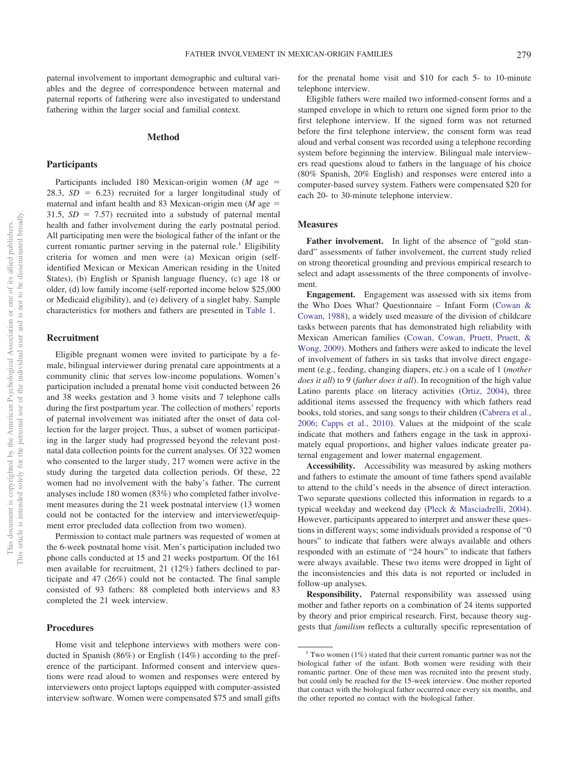paternal involvement to important demographic and cultural variables and the degree of correspondence between maternal and paternal reports of fathering were also investigated to understand fathering within the larger social and familial context.

## **Method**

## **Participants**

Participants included 180 Mexican-origin women  $(M \t{age} =$ 28.3,  $SD = 6.23$ ) recruited for a larger longitudinal study of maternal and infant health and 83 Mexican-origin men  $(M$  age  $=$  $31.5, SD = 7.57$  recruited into a substudy of paternal mental health and father involvement during the early postnatal period. All participating men were the biological father of the infant or the current romantic partner serving in the paternal role.<sup>1</sup> Eligibility criteria for women and men were (a) Mexican origin (selfidentified Mexican or Mexican American residing in the United States), (b) English or Spanish language fluency, (c) age 18 or older, (d) low family income (self-reported income below \$25,000 or Medicaid eligibility), and (e) delivery of a singlet baby. Sample characteristics for mothers and fathers are presented in [Table 1.](#page-3-0)

## **Recruitment**

Eligible pregnant women were invited to participate by a female, bilingual interviewer during prenatal care appointments at a community clinic that serves low-income populations. Women's participation included a prenatal home visit conducted between 26 and 38 weeks gestation and 3 home visits and 7 telephone calls during the first postpartum year. The collection of mothers' reports of paternal involvement was initiated after the onset of data collection for the larger project. Thus, a subset of women participating in the larger study had progressed beyond the relevant postnatal data collection points for the current analyses. Of 322 women who consented to the larger study, 217 women were active in the study during the targeted data collection periods. Of these, 22 women had no involvement with the baby's father. The current analyses include 180 women (83%) who completed father involvement measures during the 21 week postnatal interview (13 women could not be contacted for the interview and interviewer/equipment error precluded data collection from two women).

Permission to contact male partners was requested of women at the 6-week postnatal home visit. Men's participation included two phone calls conducted at 15 and 21 weeks postpartum. Of the 161 men available for recruitment, 21 (12%) fathers declined to participate and 47 (26%) could not be contacted. The final sample consisted of 93 fathers: 88 completed both interviews and 83 completed the 21 week interview.

# **Procedures**

Home visit and telephone interviews with mothers were conducted in Spanish (86%) or English (14%) according to the preference of the participant. Informed consent and interview questions were read aloud to women and responses were entered by interviewers onto project laptops equipped with computer-assisted interview software. Women were compensated \$75 and small gifts

for the prenatal home visit and \$10 for each 5- to 10-minute telephone interview.

Eligible fathers were mailed two informed-consent forms and a stamped envelope in which to return one signed form prior to the first telephone interview. If the signed form was not returned before the first telephone interview, the consent form was read aloud and verbal consent was recorded using a telephone recording system before beginning the interview. Bilingual male interviewers read questions aloud to fathers in the language of his choice (80% Spanish, 20% English) and responses were entered into a computer-based survey system. Fathers were compensated \$20 for each 20- to 30-minute telephone interview.

# **Measures**

Father involvement. In light of the absence of "gold standard" assessments of father involvement, the current study relied on strong theoretical grounding and previous empirical research to select and adapt assessments of the three components of involvement.

**Engagement.** Engagement was assessed with six items from the Who Does What? Questionnaire – Infant Form [\(Cowan &](#page-9-20) [Cowan, 1988\)](#page-9-20), a widely used measure of the division of childcare tasks between parents that has demonstrated high reliability with Mexican American families [\(Cowan, Cowan, Pruett, Pruett, &](#page-9-21) [Wong, 2009\)](#page-9-21). Mothers and fathers were asked to indicate the level of involvement of fathers in six tasks that involve direct engagement (e.g., feeding, changing diapers, etc.) on a scale of 1 (*mother does it all*) to 9 (*father does it all*). In recognition of the high value Latino parents place on literacy activities [\(Ortiz, 2004\)](#page-10-14), three additional items assessed the frequency with which fathers read books, told stories, and sang songs to their children [\(Cabrera et al.,](#page-9-16) [2006;](#page-9-16) [Capps et al., 2010\)](#page-9-14). Values at the midpoint of the scale indicate that mothers and fathers engage in the task in approximately equal proportions, and higher values indicate greater paternal engagement and lower maternal engagement.

**Accessibility.** Accessibility was measured by asking mothers and fathers to estimate the amount of time fathers spend available to attend to the child's needs in the absence of direct interaction. Two separate questions collected this information in regards to a typical weekday and weekend day [\(Pleck & Masciadrelli, 2004\)](#page-10-1). However, participants appeared to interpret and answer these questions in different ways; some individuals provided a response of "0 hours" to indicate that fathers were always available and others responded with an estimate of "24 hours" to indicate that fathers were always available. These two items were dropped in light of the inconsistencies and this data is not reported or included in follow-up analyses.

**Responsibility.** Paternal responsibility was assessed using mother and father reports on a combination of 24 items supported by theory and prior empirical research. First, because theory suggests that *familism* reflects a culturally specific representation of

<sup>&</sup>lt;sup>1</sup> Two women (1%) stated that their current romantic partner was not the biological father of the infant. Both women were residing with their romantic partner. One of these men was recruited into the present study, but could only be reached for the 15-week interview. One mother reported that contact with the biological father occurred once every six months, and the other reported no contact with the biological father.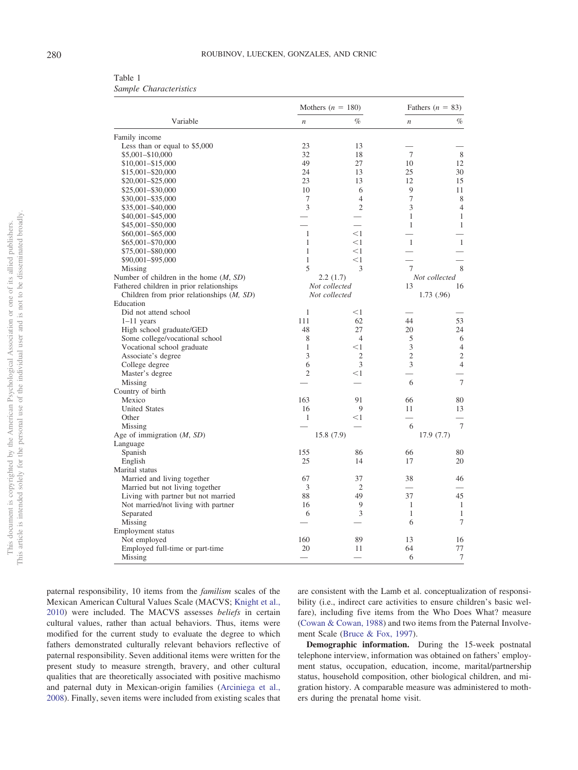<span id="page-3-0"></span>

| Table 1 |                        |
|---------|------------------------|
|         | Sample Characteristics |

|                                             |                  | Mothers $(n = 180)$ | Fathers $(n = 83)$             |                |  |
|---------------------------------------------|------------------|---------------------|--------------------------------|----------------|--|
| Variable                                    | $\boldsymbol{n}$ | $\%$                | $\boldsymbol{n}$               | $\%$           |  |
| Family income                               |                  |                     |                                |                |  |
| Less than or equal to \$5,000               | 23               | 13                  |                                |                |  |
| \$5,001-\$10,000                            | 32               | 18                  | 7                              | 8              |  |
| \$10,001-\$15,000                           | 49               | 27                  | 10                             | 12             |  |
| \$15,001-\$20,000                           | 24               | 13                  | 25                             | 30             |  |
| \$20,001-\$25,000                           | 23               | 13                  | 12                             | 15             |  |
| \$25,001-\$30,000                           | 10               | 6                   | 9                              | 11             |  |
| \$30,001-\$35,000                           | 7                | $\overline{4}$      | 7                              | 8              |  |
| \$35,001-\$40,000                           | 3                | $\overline{c}$      | 3                              | $\overline{4}$ |  |
| \$40,001-\$45,000                           |                  |                     | 1                              | $\mathbf{1}$   |  |
| \$45,001-\$50,000                           |                  |                     | $\mathbf{1}$                   | $\mathbf{1}$   |  |
| \$60,001-\$65,000                           | 1                | $<$ 1               |                                |                |  |
| \$65,001-\$70,000                           | 1                | $<$ 1               | $\mathbf{1}$                   | $\mathbf{1}$   |  |
| \$75,001-\$80,000                           | 1                | $<$ 1               |                                |                |  |
| \$90,001-\$95,000                           | $\mathbf{1}$     | $<$ 1               |                                |                |  |
| Missing                                     | 5                | 3                   | $\tau$                         | 8              |  |
| Number of children in the home $(M, SD)$    |                  | 2.2(1.7)            |                                | Not collected  |  |
| Fathered children in prior relationships    |                  | Not collected       | 13                             | 16             |  |
| Children from prior relationships $(M, SD)$ |                  | Not collected       |                                | 1.73 (.96)     |  |
| Education                                   |                  |                     |                                |                |  |
| Did not attend school                       | 1                | $<$ 1               |                                |                |  |
| $1-11$ years                                | 111              | 62                  | 44                             | 53             |  |
| High school graduate/GED                    | 48               | 27                  | 20                             | 24             |  |
| Some college/vocational school              | 8                | $\overline{4}$      | 5                              | 6              |  |
| Vocational school graduate                  | $\mathbf{1}$     | $<$ 1               | 3                              | $\overline{4}$ |  |
| Associate's degree                          | 3                | 2                   | $\mathfrak{2}$                 | $\overline{c}$ |  |
| College degree                              | 6                | 3                   | 3                              | $\overline{4}$ |  |
| Master's degree                             | $\overline{2}$   | $<$ 1               |                                |                |  |
| Missing                                     |                  |                     | 6                              | $\tau$         |  |
| Country of birth                            |                  |                     |                                |                |  |
| Mexico                                      | 163              | 91                  | 66                             | 80             |  |
| <b>United States</b>                        | 16               | 9                   | 11                             | 13             |  |
| Other                                       | 1                | $<$ 1               |                                |                |  |
| Missing                                     |                  |                     | 6                              | $\tau$         |  |
| Age of immigration $(M, SD)$                |                  | 15.8 (7.9)          |                                | 17.9 (7.7)     |  |
| Language                                    |                  |                     |                                |                |  |
| Spanish                                     | 155              | 86                  | 66                             | 80             |  |
| English                                     | 25               | 14                  | 17                             | 20             |  |
| Marital status                              |                  |                     |                                |                |  |
|                                             |                  | 37                  |                                |                |  |
| Married and living together                 | 67               | $\overline{2}$      | 38<br>$\overline{\phantom{0}}$ | 46             |  |
| Married but not living together             | 3                |                     |                                |                |  |
| Living with partner but not married         | 88               | 49                  | 37                             | 45             |  |
| Not married/not living with partner         | 16               | 9                   | $\mathbf{1}$                   | $\mathbf{1}$   |  |
| Separated                                   | 6                | 3                   | $\mathbf{1}$                   | $\mathbf{1}$   |  |
| Missing                                     |                  |                     | 6                              | 7              |  |
| Employment status                           |                  |                     |                                |                |  |
| Not employed                                | 160              | 89                  | 13                             | 16             |  |
| Employed full-time or part-time             | 20               | 11                  | 64                             | 77             |  |
| Missing                                     |                  |                     | 6                              | $\tau$         |  |

paternal responsibility, 10 items from the *familism* scales of the Mexican American Cultural Values Scale (MACVS; [Knight et al.,](#page-9-22) [2010\)](#page-9-22) were included. The MACVS assesses *beliefs* in certain cultural values, rather than actual behaviors. Thus, items were modified for the current study to evaluate the degree to which fathers demonstrated culturally relevant behaviors reflective of paternal responsibility. Seven additional items were written for the present study to measure strength, bravery, and other cultural qualities that are theoretically associated with positive machismo and paternal duty in Mexican-origin families [\(Arciniega et al.,](#page-9-11) [2008\)](#page-9-11). Finally, seven items were included from existing scales that are consistent with the Lamb et al. conceptualization of responsibility (i.e., indirect care activities to ensure children's basic welfare), including five items from the Who Does What? measure [\(Cowan & Cowan, 1988\)](#page-9-20) and two items from the Paternal Involvement Scale [\(Bruce & Fox, 1997\)](#page-9-23).

**Demographic information.** During the 15-week postnatal telephone interview, information was obtained on fathers' employment status, occupation, education, income, marital/partnership status, household composition, other biological children, and migration history. A comparable measure was administered to mothers during the prenatal home visit.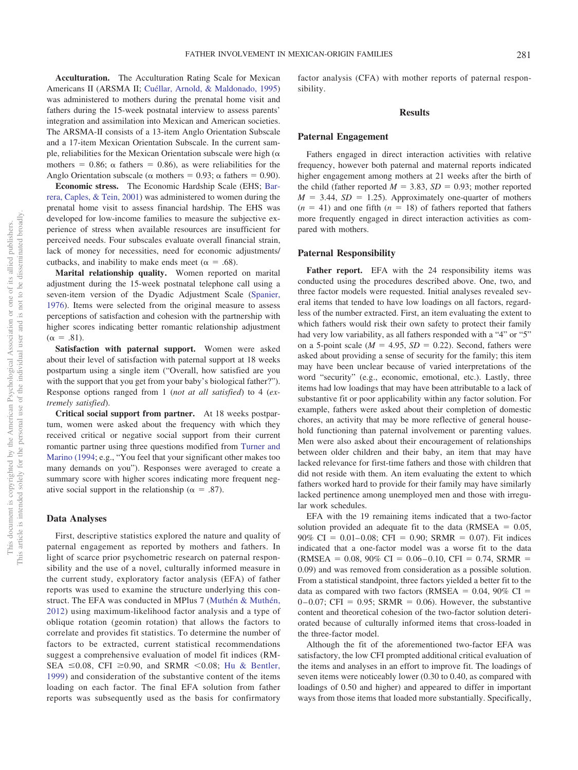**Acculturation.** The Acculturation Rating Scale for Mexican Americans II (ARSMA II; [Cuéllar, Arnold, & Maldonado, 1995\)](#page-9-24) was administered to mothers during the prenatal home visit and fathers during the 15-week postnatal interview to assess parents' integration and assimilation into Mexican and American societies. The ARSMA-II consists of a 13-item Anglo Orientation Subscale and a 17-item Mexican Orientation Subscale. In the current sample, reliabilities for the Mexican Orientation subscale were high ( $\alpha$ ) mothers = 0.86;  $\alpha$  fathers = 0.86), as were reliabilities for the Anglo Orientation subscale ( $\alpha$  mothers = 0.93;  $\alpha$  fathers = 0.90).

**Economic stress.** The Economic Hardship Scale (EHS; [Bar](#page-9-25)[rera, Caples, & Tein, 2001\)](#page-9-25) was administered to women during the prenatal home visit to assess financial hardship. The EHS was developed for low-income families to measure the subjective experience of stress when available resources are insufficient for perceived needs. Four subscales evaluate overall financial strain, lack of money for necessities, need for economic adjustments/ cutbacks, and inability to make ends meet ( $\alpha = .68$ ).

**Marital relationship quality.** Women reported on marital adjustment during the 15-week postnatal telephone call using a seven-item version of the Dyadic Adjustment Scale [\(Spanier,](#page-10-15) [1976\)](#page-10-15). Items were selected from the original measure to assess perceptions of satisfaction and cohesion with the partnership with higher scores indicating better romantic relationship adjustment  $(\alpha = .81)$ .

**Satisfaction with paternal support.** Women were asked about their level of satisfaction with paternal support at 18 weeks postpartum using a single item ("Overall, how satisfied are you with the support that you get from your baby's biological father?". Response options ranged from 1 (*not at all satisfied*) to 4 (*extremely satisfied*).

**Critical social support from partner.** At 18 weeks postpartum, women were asked about the frequency with which they received critical or negative social support from their current romantic partner using three questions modified from [Turner and](#page-10-16) [Marino \(1994;](#page-10-16) e.g., "You feel that your significant other makes too many demands on you"). Responses were averaged to create a summary score with higher scores indicating more frequent negative social support in the relationship ( $\alpha = .87$ ).

# **Data Analyses**

First, descriptive statistics explored the nature and quality of paternal engagement as reported by mothers and fathers. In light of scarce prior psychometric research on paternal responsibility and the use of a novel, culturally informed measure in the current study, exploratory factor analysis (EFA) of father reports was used to examine the structure underlying this construct. The EFA was conducted in MPlus 7 [\(Muthén & Muthén,](#page-10-17) [2012\)](#page-10-17) using maximum-likelihood factor analysis and a type of oblique rotation (geomin rotation) that allows the factors to correlate and provides fit statistics. To determine the number of factors to be extracted, current statistical recommendations suggest a comprehensive evaluation of model fit indices (RM-SEA  $\leq 0.08$ , CFI  $\geq 0.90$ , and SRMR  $\leq 0.08$ ; [Hu & Bentler,](#page-9-26) [1999\)](#page-9-26) and consideration of the substantive content of the items loading on each factor. The final EFA solution from father reports was subsequently used as the basis for confirmatory

factor analysis (CFA) with mother reports of paternal responsibility.

# **Results**

# **Paternal Engagement**

Fathers engaged in direct interaction activities with relative frequency, however both paternal and maternal reports indicated higher engagement among mothers at 21 weeks after the birth of the child (father reported  $M = 3.83$ ,  $SD = 0.93$ ; mother reported  $M = 3.44$ ,  $SD = 1.25$ . Approximately one-quarter of mothers  $(n = 41)$  and one fifth  $(n = 18)$  of fathers reported that fathers more frequently engaged in direct interaction activities as compared with mothers.

#### **Paternal Responsibility**

Father report. EFA with the 24 responsibility items was conducted using the procedures described above. One, two, and three factor models were requested. Initial analyses revealed several items that tended to have low loadings on all factors, regardless of the number extracted. First, an item evaluating the extent to which fathers would risk their own safety to protect their family had very low variability, as all fathers responded with a "4" or "5" on a 5-point scale ( $M = 4.95$ ,  $SD = 0.22$ ). Second, fathers were asked about providing a sense of security for the family; this item may have been unclear because of varied interpretations of the word "security" (e.g., economic, emotional, etc.). Lastly, three items had low loadings that may have been attributable to a lack of substantive fit or poor applicability within any factor solution. For example, fathers were asked about their completion of domestic chores, an activity that may be more reflective of general household functioning than paternal involvement or parenting values. Men were also asked about their encouragement of relationships between older children and their baby, an item that may have lacked relevance for first-time fathers and those with children that did not reside with them. An item evaluating the extent to which fathers worked hard to provide for their family may have similarly lacked pertinence among unemployed men and those with irregular work schedules.

EFA with the 19 remaining items indicated that a two-factor solution provided an adequate fit to the data ( $RMSEA = 0.05$ ,  $90\% \text{ CI} = 0.01 - 0.08$ ; CFI = 0.90; SRMR = 0.07). Fit indices indicated that a one-factor model was a worse fit to the data  $(RMSEA = 0.08, 90\% \text{ CI} = 0.06 - 0.10, \text{CFI} = 0.74, SRMR =$ 0.09) and was removed from consideration as a possible solution. From a statistical standpoint, three factors yielded a better fit to the data as compared with two factors (RMSEA  $= 0.04$ , 90% CI  $=$  $0-0.07$ ; CFI = 0.95; SRMR = 0.06). However, the substantive content and theoretical cohesion of the two-factor solution deteriorated because of culturally informed items that cross-loaded in the three-factor model.

Although the fit of the aforementioned two-factor EFA was satisfactory, the low CFI prompted additional critical evaluation of the items and analyses in an effort to improve fit. The loadings of seven items were noticeably lower (0.30 to 0.40, as compared with loadings of 0.50 and higher) and appeared to differ in important ways from those items that loaded more substantially. Specifically,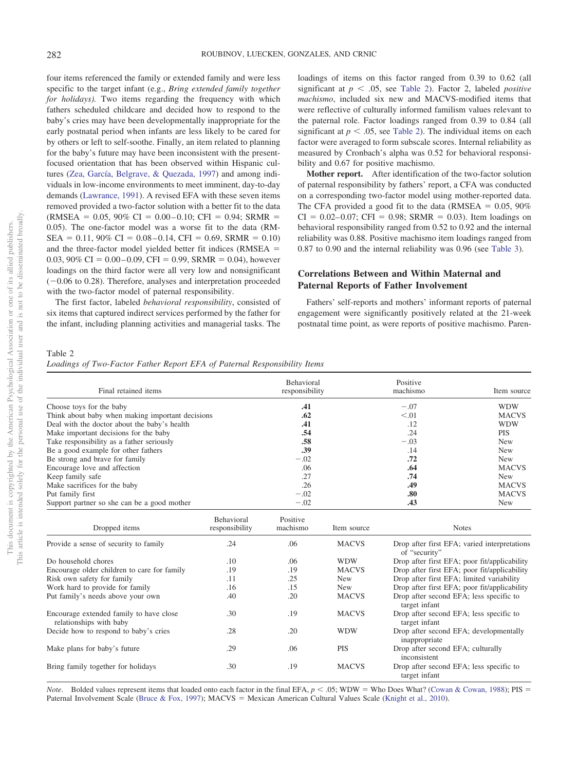four items referenced the family or extended family and were less specific to the target infant (e.g., *Bring extended family together for holidays).* Two items regarding the frequency with which fathers scheduled childcare and decided how to respond to the baby's cries may have been developmentally inappropriate for the early postnatal period when infants are less likely to be cared for by others or left to self-soothe. Finally, an item related to planning for the baby's future may have been inconsistent with the presentfocused orientation that has been observed within Hispanic cultures [\(Zea, García, Belgrave, & Quezada, 1997\)](#page-10-18) and among individuals in low-income environments to meet imminent, day-to-day demands [\(Lawrance, 1991\)](#page-10-19). A revised EFA with these seven items removed provided a two-factor solution with a better fit to the data  $(RMSEA = 0.05, 90\% \text{ CI} = 0.00 - 0.10; \text{CFI} = 0.94; SRMR =$ 0.05). The one-factor model was a worse fit to the data (RM- $SEA = 0.11,90\% \text{ CI} = 0.08 - 0.14, CFI = 0.69, SRMR = 0.10$ and the three-factor model yielded better fit indices ( $RMSEA$  =  $0.03,90\% \text{ CI} = 0.00 - 0.09, \text{CFI} = 0.99, \text{SRMR} = 0.04$ ), however loadings on the third factor were all very low and nonsignificant  $(-0.06$  to 0.28). Therefore, analyses and interpretation proceeded with the two-factor model of paternal responsibility.

The first factor, labeled *behavioral responsibility*, consisted of six items that captured indirect services performed by the father for the infant, including planning activities and managerial tasks. The loadings of items on this factor ranged from 0.39 to 0.62 (all significant at  $p < .05$ , see [Table 2\)](#page-5-0). Factor 2, labeled *positive machismo*, included six new and MACVS-modified items that were reflective of culturally informed familism values relevant to the paternal role. Factor loadings ranged from 0.39 to 0.84 (all significant at  $p < .05$ , see [Table 2\)](#page-5-0). The individual items on each factor were averaged to form subscale scores. Internal reliability as measured by Cronbach's alpha was 0.52 for behavioral responsibility and 0.67 for positive machismo.

**Mother report.** After identification of the two-factor solution of paternal responsibility by fathers' report, a CFA was conducted on a corresponding two-factor model using mother-reported data. The CFA provided a good fit to the data (RMSEA  $= 0.05, 90\%$  $CI = 0.02 - 0.07$ ;  $CFI = 0.98$ ;  $SRMR = 0.03$ ). Item loadings on behavioral responsibility ranged from 0.52 to 0.92 and the internal reliability was 0.88. Positive machismo item loadings ranged from 0.87 to 0.90 and the internal reliability was 0.96 (see [Table 3\)](#page-6-0).

# **Correlations Between and Within Maternal and Paternal Reports of Father Involvement**

Fathers' self-reports and mothers' informant reports of paternal engagement were significantly positively related at the 21-week postnatal time point, as were reports of positive machismo. Paren-

#### <span id="page-5-0"></span>Table 2

|  |  |  |  | Loadings of Two-Factor Father Report EFA of Paternal Responsibility Items |  |
|--|--|--|--|---------------------------------------------------------------------------|--|
|  |  |  |  |                                                                           |  |

| Final retained items<br>Choose toys for the baby                   |                              | Behavioral<br>responsibility<br>.41 |                                           | Positive<br>machismo                                          | Item source  |  |
|--------------------------------------------------------------------|------------------------------|-------------------------------------|-------------------------------------------|---------------------------------------------------------------|--------------|--|
|                                                                    |                              |                                     |                                           | $-.07$                                                        | <b>WDW</b>   |  |
| Think about baby when making important decisions                   |                              | .62                                 |                                           | < 0.01                                                        | <b>MACVS</b> |  |
| Deal with the doctor about the baby's health                       |                              | .41                                 |                                           | .12                                                           | <b>WDW</b>   |  |
| Make important decisions for the baby                              | .54                          |                                     | .24<br>$-.03$<br>.14<br>.72<br>.64<br>.74 | <b>PIS</b>                                                    |              |  |
| Take responsibility as a father seriously                          | .58                          |                                     |                                           | <b>New</b>                                                    |              |  |
| Be a good example for other fathers                                | .39                          |                                     |                                           | <b>New</b>                                                    |              |  |
| Be strong and brave for family                                     | $-.02$                       |                                     |                                           | <b>New</b>                                                    |              |  |
| Encourage love and affection                                       | .06                          |                                     |                                           | <b>MACVS</b>                                                  |              |  |
| Keep family safe                                                   | .27                          |                                     |                                           | <b>New</b>                                                    |              |  |
| Make sacrifices for the baby                                       | .26                          |                                     | .49                                       | <b>MACVS</b>                                                  |              |  |
| Put family first                                                   |                              | $-.02$                              |                                           | .80                                                           | <b>MACVS</b> |  |
| Support partner so she can be a good mother                        |                              | $-.02$                              |                                           | .43                                                           | <b>New</b>   |  |
| Dropped items                                                      | Behavioral<br>responsibility | Positive<br>machismo                | Item source                               |                                                               | <b>Notes</b> |  |
| Provide a sense of security to family                              | .24                          | .06                                 | <b>MACVS</b>                              | Drop after first EFA; varied interpretations<br>of "security" |              |  |
| Do household chores                                                | .10                          | .06                                 | <b>WDW</b>                                | Drop after first EFA; poor fit/applicability                  |              |  |
| Encourage older children to care for family                        | .19                          | .19                                 | <b>MACVS</b>                              | Drop after first EFA; poor fit/applicability                  |              |  |
| Risk own safety for family                                         | .11                          | .25                                 | <b>New</b>                                | Drop after first EFA; limited variability                     |              |  |
| Work hard to provide for family                                    | .16                          | .15                                 | <b>New</b>                                | Drop after first EFA; poor fit/applicability                  |              |  |
| Put family's needs above your own                                  | .40                          | .20                                 | <b>MACVS</b>                              | Drop after second EFA; less specific to<br>target infant      |              |  |
| Encourage extended family to have close<br>relationships with baby | .30                          | .19                                 | <b>MACVS</b>                              | Drop after second EFA; less specific to<br>target infant      |              |  |
| Decide how to respond to baby's cries                              | .28                          | .20                                 | <b>WDW</b>                                | Drop after second EFA; developmentally<br>inappropriate       |              |  |
| Make plans for baby's future                                       | .29                          | .06                                 | PIS                                       | Drop after second EFA; culturally<br>inconsistent             |              |  |
| Bring family together for holidays                                 | .30                          | .19                                 | <b>MACVS</b>                              | Drop after second EFA; less specific to<br>target infant      |              |  |

*Note*. Bolded values represent items that loaded onto each factor in the final EFA,  $p < .05$ ; WDW = Who Does What? [\(Cowan & Cowan, 1988\)](#page-9-20); PIS = Paternal Involvement Scale [\(Bruce & Fox, 1997\)](#page-9-23); MACVS = Mexican American Cultural Values Scale [\(Knight et al., 2010\)](#page-9-22).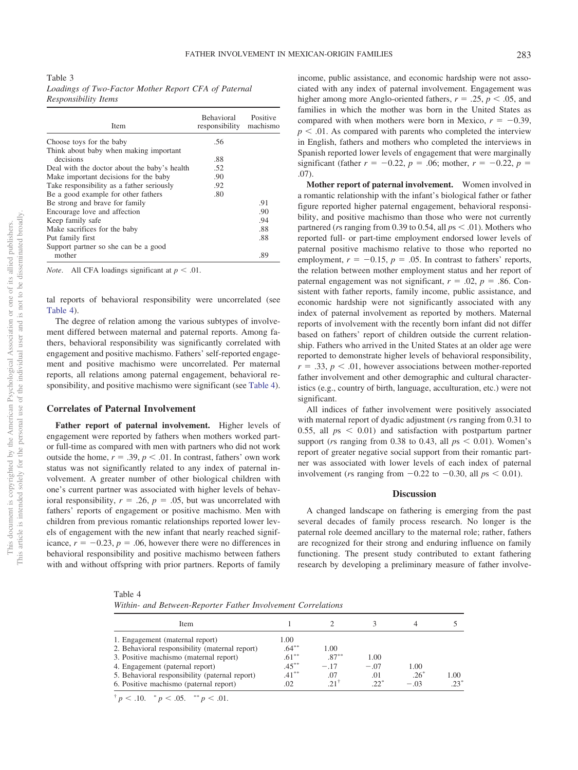<span id="page-6-0"></span>Table 3 *Loadings of Two-Factor Mother Report CFA of Paternal Responsibility Items*

| <b>Item</b>                                  | <b>Behavioral</b><br>responsibility | Positive<br>machismo |
|----------------------------------------------|-------------------------------------|----------------------|
| Choose toys for the baby                     | .56                                 |                      |
| Think about baby when making important       |                                     |                      |
| decisions                                    | .88                                 |                      |
| Deal with the doctor about the baby's health | .52                                 |                      |
| Make important decisions for the baby        | .90                                 |                      |
| Take responsibility as a father seriously    | .92                                 |                      |
| Be a good example for other fathers          | .80                                 |                      |
| Be strong and brave for family               |                                     | .91                  |
| Encourage love and affection                 |                                     | .90                  |
| Keep family safe                             |                                     | .94                  |
| Make sacrifices for the baby                 |                                     | .88                  |
| Put family first                             |                                     | .88                  |
| Support partner so she can be a good         |                                     |                      |
| mother                                       |                                     | .89                  |

*Note*. All CFA loadings significant at  $p < .01$ .

tal reports of behavioral responsibility were uncorrelated (see [Table 4\)](#page-6-1).

The degree of relation among the various subtypes of involvement differed between maternal and paternal reports. Among fathers, behavioral responsibility was significantly correlated with engagement and positive machismo. Fathers' self-reported engagement and positive machismo were uncorrelated. Per maternal reports, all relations among paternal engagement, behavioral responsibility, and positive machismo were significant (see [Table 4\)](#page-6-1).

# **Correlates of Paternal Involvement**

**Father report of paternal involvement.** Higher levels of engagement were reported by fathers when mothers worked partor full-time as compared with men with partners who did not work outside the home,  $r = .39$ ,  $p < .01$ . In contrast, fathers' own work status was not significantly related to any index of paternal involvement. A greater number of other biological children with one's current partner was associated with higher levels of behavioral responsibility,  $r = .26$ ,  $p = .05$ , but was uncorrelated with fathers' reports of engagement or positive machismo. Men with children from previous romantic relationships reported lower levels of engagement with the new infant that nearly reached significance,  $r = -0.23$ ,  $p = .06$ , however there were no differences in behavioral responsibility and positive machismo between fathers with and without offspring with prior partners. Reports of family income, public assistance, and economic hardship were not associated with any index of paternal involvement. Engagement was higher among more Anglo-oriented fathers,  $r = .25$ ,  $p < .05$ , and families in which the mother was born in the United States as compared with when mothers were born in Mexico,  $r = -0.39$ ,  $p < .01$ . As compared with parents who completed the interview in English, fathers and mothers who completed the interviews in Spanish reported lower levels of engagement that were marginally significant (father  $r = -0.22$ ,  $p = .06$ ; mother,  $r = -0.22$ ,  $p =$ .07).

**Mother report of paternal involvement.** Women involved in a romantic relationship with the infant's biological father or father figure reported higher paternal engagement, behavioral responsibility, and positive machismo than those who were not currently partnered (*rs* ranging from 0.39 to 0.54, all  $ps < .01$ ). Mothers who reported full- or part-time employment endorsed lower levels of paternal positive machismo relative to those who reported no employment,  $r = -0.15$ ,  $p = .05$ . In contrast to fathers' reports, the relation between mother employment status and her report of paternal engagement was not significant,  $r = .02$ ,  $p = .86$ . Consistent with father reports, family income, public assistance, and economic hardship were not significantly associated with any index of paternal involvement as reported by mothers. Maternal reports of involvement with the recently born infant did not differ based on fathers' report of children outside the current relationship. Fathers who arrived in the United States at an older age were reported to demonstrate higher levels of behavioral responsibility,  $r = .33$ ,  $p < .01$ , however associations between mother-reported father involvement and other demographic and cultural characteristics (e.g., country of birth, language, acculturation, etc.) were not significant.

All indices of father involvement were positively associated with maternal report of dyadic adjustment (*r*s ranging from 0.31 to 0.55, all  $ps < 0.01$ ) and satisfaction with postpartum partner support (*rs* ranging from 0.38 to 0.43, all  $ps < 0.01$ ). Women's report of greater negative social support from their romantic partner was associated with lower levels of each index of paternal involvement (*rs* ranging from  $-0.22$  to  $-0.30$ , all  $ps < 0.01$ ).

#### **Discussion**

A changed landscape on fathering is emerging from the past several decades of family process research. No longer is the paternal role deemed ancillary to the maternal role; rather, fathers are recognized for their strong and enduring influence on family functioning. The present study contributed to extant fathering research by developing a preliminary measure of father involve-

<span id="page-6-1"></span>

|--|--|--|--|

| Item                                                                                                                                                                                                                                                       |                                                             |                                         |                                 |                                 |                |
|------------------------------------------------------------------------------------------------------------------------------------------------------------------------------------------------------------------------------------------------------------|-------------------------------------------------------------|-----------------------------------------|---------------------------------|---------------------------------|----------------|
| 1. Engagement (maternal report)<br>2. Behavioral responsibility (maternal report)<br>3. Positive machismo (maternal report)<br>4. Engagement (paternal report)<br>5. Behavioral responsibility (paternal report)<br>6. Positive machismo (paternal report) | 1.00<br>$.64***$<br>$.61***$<br>$.45***$<br>$.41***$<br>.02 | 1.00<br>$.87***$<br>$-17$<br>.07<br>211 | 1.00<br>$-.07$<br>.01<br>$22^*$ | 1.00<br>$.26^{\circ}$<br>$-.03$ | 1.00<br>$23^*$ |

 $\frac{p}{p}$  < .10.  $\frac{p}{p}$  < .05.  $\frac{p}{p}$  < .01.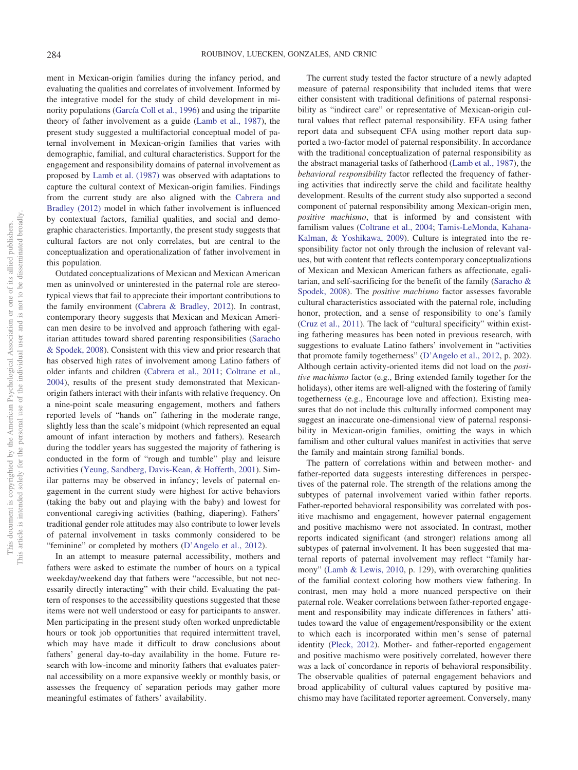ment in Mexican-origin families during the infancy period, and evaluating the qualities and correlates of involvement. Informed by the integrative model for the study of child development in minority populations [\(García Coll et al., 1996\)](#page-9-10) and using the tripartite theory of father involvement as a guide [\(Lamb et al., 1987\)](#page-10-0), the present study suggested a multifactorial conceptual model of paternal involvement in Mexican-origin families that varies with demographic, familial, and cultural characteristics. Support for the engagement and responsibility domains of paternal involvement as proposed by [Lamb et al. \(1987\)](#page-10-0) was observed with adaptations to capture the cultural context of Mexican-origin families. Findings from the current study are also aligned with the [Cabrera and](#page-9-12) [Bradley \(2012\)](#page-9-12) model in which father involvement is influenced by contextual factors, familial qualities, and social and demographic characteristics. Importantly, the present study suggests that cultural factors are not only correlates, but are central to the conceptualization and operationalization of father involvement in this population.

Outdated conceptualizations of Mexican and Mexican American men as uninvolved or uninterested in the paternal role are stereotypical views that fail to appreciate their important contributions to the family environment [\(Cabrera & Bradley, 2012\)](#page-9-12). In contrast, contemporary theory suggests that Mexican and Mexican American men desire to be involved and approach fathering with egalitarian attitudes toward shared parenting responsibilities [\(Saracho](#page-10-20) [& Spodek, 2008\)](#page-10-20). Consistent with this view and prior research that has observed high rates of involvement among Latino fathers of older infants and children [\(Cabrera et al., 2011;](#page-9-19) [Coltrane et al.,](#page-9-8) [2004\)](#page-9-8), results of the present study demonstrated that Mexicanorigin fathers interact with their infants with relative frequency. On a nine-point scale measuring engagement, mothers and fathers reported levels of "hands on" fathering in the moderate range, slightly less than the scale's midpoint (which represented an equal amount of infant interaction by mothers and fathers). Research during the toddler years has suggested the majority of fathering is conducted in the form of "rough and tumble" play and leisure activities [\(Yeung, Sandberg, Davis-Kean, & Hofferth, 2001\)](#page-10-21). Similar patterns may be observed in infancy; levels of paternal engagement in the current study were highest for active behaviors (taking the baby out and playing with the baby) and lowest for conventional caregiving activities (bathing, diapering). Fathers' traditional gender role attitudes may also contribute to lower levels of paternal involvement in tasks commonly considered to be "feminine" or completed by mothers [\(D'Angelo et al., 2012\)](#page-9-5).

In an attempt to measure paternal accessibility, mothers and fathers were asked to estimate the number of hours on a typical weekday/weekend day that fathers were "accessible, but not necessarily directly interacting" with their child. Evaluating the pattern of responses to the accessibility questions suggested that these items were not well understood or easy for participants to answer. Men participating in the present study often worked unpredictable hours or took job opportunities that required intermittent travel, which may have made it difficult to draw conclusions about fathers' general day-to-day availability in the home. Future research with low-income and minority fathers that evaluates paternal accessibility on a more expansive weekly or monthly basis, or assesses the frequency of separation periods may gather more meaningful estimates of fathers' availability.

The current study tested the factor structure of a newly adapted measure of paternal responsibility that included items that were either consistent with traditional definitions of paternal responsibility as "indirect care" or representative of Mexican-origin cultural values that reflect paternal responsibility. EFA using father report data and subsequent CFA using mother report data supported a two-factor model of paternal responsibility. In accordance with the traditional conceptualization of paternal responsibility as the abstract managerial tasks of fatherhood [\(Lamb et al., 1987\)](#page-10-0), the *behavioral responsibility* factor reflected the frequency of fathering activities that indirectly serve the child and facilitate healthy development. Results of the current study also supported a second component of paternal responsibility among Mexican-origin men, *positive machismo*, that is informed by and consistent with familism values [\(Coltrane et al., 2004;](#page-9-8) [Tamis-LeMonda, Kahana-](#page-10-22)[Kalman, & Yoshikawa, 2009\)](#page-10-22). Culture is integrated into the responsibility factor not only through the inclusion of relevant values, but with content that reflects contemporary conceptualizations of Mexican and Mexican American fathers as affectionate, egalitarian, and self-sacrificing for the benefit of the family [\(Saracho &](#page-10-20) [Spodek, 2008\)](#page-10-20). The *positive machismo* factor assesses favorable cultural characteristics associated with the paternal role, including honor, protection, and a sense of responsibility to one's family [\(Cruz et al., 2011\)](#page-9-27). The lack of "cultural specificity" within existing fathering measures has been noted in previous research, with suggestions to evaluate Latino fathers' involvement in "activities that promote family togetherness" [\(D'Angelo et al., 2012,](#page-9-5) p. 202). Although certain activity-oriented items did not load on the *positive machismo* factor (e.g., Bring extended family together for the holidays), other items are well-aligned with the fostering of family togetherness (e.g., Encourage love and affection). Existing measures that do not include this culturally informed component may suggest an inaccurate one-dimensional view of paternal responsibility in Mexican-origin families, omitting the ways in which familism and other cultural values manifest in activities that serve the family and maintain strong familial bonds.

The pattern of correlations within and between mother- and father-reported data suggests interesting differences in perspectives of the paternal role. The strength of the relations among the subtypes of paternal involvement varied within father reports. Father-reported behavioral responsibility was correlated with positive machismo and engagement, however paternal engagement and positive machismo were not associated. In contrast, mother reports indicated significant (and stronger) relations among all subtypes of paternal involvement. It has been suggested that maternal reports of paternal involvement may reflect "family harmony" [\(Lamb & Lewis, 2010,](#page-10-23) p. 129), with overarching qualities of the familial context coloring how mothers view fathering. In contrast, men may hold a more nuanced perspective on their paternal role. Weaker correlations between father-reported engagement and responsibility may indicate differences in fathers' attitudes toward the value of engagement/responsibility or the extent to which each is incorporated within men's sense of paternal identity [\(Pleck, 2012\)](#page-10-24). Mother- and father-reported engagement and positive machismo were positively correlated, however there was a lack of concordance in reports of behavioral responsibility. The observable qualities of paternal engagement behaviors and broad applicability of cultural values captured by positive machismo may have facilitated reporter agreement. Conversely, many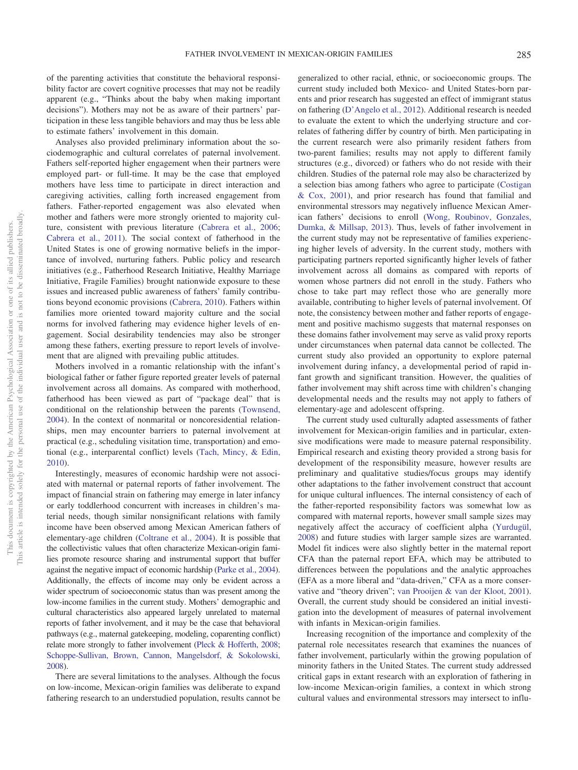of the parenting activities that constitute the behavioral responsibility factor are covert cognitive processes that may not be readily apparent (e.g., "Thinks about the baby when making important decisions"). Mothers may not be as aware of their partners' participation in these less tangible behaviors and may thus be less able to estimate fathers' involvement in this domain.

Analyses also provided preliminary information about the sociodemographic and cultural correlates of paternal involvement. Fathers self-reported higher engagement when their partners were employed part- or full-time. It may be the case that employed mothers have less time to participate in direct interaction and caregiving activities, calling forth increased engagement from fathers. Father-reported engagement was also elevated when mother and fathers were more strongly oriented to majority culture, consistent with previous literature [\(Cabrera et al., 2006;](#page-9-16) [Cabrera et al., 2011\)](#page-9-19). The social context of fatherhood in the United States is one of growing normative beliefs in the importance of involved, nurturing fathers. Public policy and research initiatives (e.g., Fatherhood Research Initiative, Healthy Marriage Initiative, Fragile Families) brought nationwide exposure to these issues and increased public awareness of fathers' family contributions beyond economic provisions [\(Cabrera, 2010\)](#page-9-28). Fathers within families more oriented toward majority culture and the social norms for involved fathering may evidence higher levels of engagement. Social desirability tendencies may also be stronger among these fathers, exerting pressure to report levels of involvement that are aligned with prevailing public attitudes.

Mothers involved in a romantic relationship with the infant's biological father or father figure reported greater levels of paternal involvement across all domains. As compared with motherhood, fatherhood has been viewed as part of "package deal" that is conditional on the relationship between the parents [\(Townsend,](#page-10-25) [2004\)](#page-10-25). In the context of nonmarital or noncoresidential relationships, men may encounter barriers to paternal involvement at practical (e.g., scheduling visitation time, transportation) and emotional (e.g., interparental conflict) levels [\(Tach, Mincy, & Edin,](#page-10-26) [2010\)](#page-10-26).

Interestingly, measures of economic hardship were not associated with maternal or paternal reports of father involvement. The impact of financial strain on fathering may emerge in later infancy or early toddlerhood concurrent with increases in children's material needs, though similar nonsignificant relations with family income have been observed among Mexican American fathers of elementary-age children [\(Coltrane et al., 2004\)](#page-9-8). It is possible that the collectivistic values that often characterize Mexican-origin families promote resource sharing and instrumental support that buffer against the negative impact of economic hardship [\(Parke et al., 2004\)](#page-10-27). Additionally, the effects of income may only be evident across a wider spectrum of socioeconomic status than was present among the low-income families in the current study. Mothers' demographic and cultural characteristics also appeared largely unrelated to maternal reports of father involvement, and it may be the case that behavioral pathways (e.g., maternal gatekeeping, modeling, coparenting conflict) relate more strongly to father involvement [\(Pleck & Hofferth, 2008;](#page-10-7) [Schoppe-Sullivan, Brown, Cannon, Mangelsdorf, & Sokolowski,](#page-10-28) [2008\)](#page-10-28).

There are several limitations to the analyses. Although the focus on low-income, Mexican-origin families was deliberate to expand fathering research to an understudied population, results cannot be

generalized to other racial, ethnic, or socioeconomic groups. The current study included both Mexico- and United States-born parents and prior research has suggested an effect of immigrant status on fathering [\(D'Angelo et al., 2012\)](#page-9-5). Additional research is needed to evaluate the extent to which the underlying structure and correlates of fathering differ by country of birth. Men participating in the current research were also primarily resident fathers from two-parent families; results may not apply to different family structures (e.g., divorced) or fathers who do not reside with their children. Studies of the paternal role may also be characterized by a selection bias among fathers who agree to participate [\(Costigan](#page-9-29) [& Cox, 2001\)](#page-9-29), and prior research has found that familial and environmental stressors may negatively influence Mexican American fathers' decisions to enroll [\(Wong, Roubinov, Gonzales,](#page-10-29) [Dumka, & Millsap, 2013\)](#page-10-29). Thus, levels of father involvement in the current study may not be representative of families experiencing higher levels of adversity. In the current study, mothers with participating partners reported significantly higher levels of father involvement across all domains as compared with reports of women whose partners did not enroll in the study. Fathers who chose to take part may reflect those who are generally more available, contributing to higher levels of paternal involvement. Of note, the consistency between mother and father reports of engagement and positive machismo suggests that maternal responses on these domains father involvement may serve as valid proxy reports under circumstances when paternal data cannot be collected. The current study also provided an opportunity to explore paternal involvement during infancy, a developmental period of rapid infant growth and significant transition. However, the qualities of father involvement may shift across time with children's changing developmental needs and the results may not apply to fathers of elementary-age and adolescent offspring.

The current study used culturally adapted assessments of father involvement for Mexican-origin families and in particular, extensive modifications were made to measure paternal responsibility. Empirical research and existing theory provided a strong basis for development of the responsibility measure, however results are preliminary and qualitative studies/focus groups may identify other adaptations to the father involvement construct that account for unique cultural influences. The internal consistency of each of the father-reported responsibility factors was somewhat low as compared with maternal reports, however small sample sizes may negatively affect the accuracy of coefficient alpha [\(Yurdugül,](#page-10-30) [2008\)](#page-10-30) and future studies with larger sample sizes are warranted. Model fit indices were also slightly better in the maternal report CFA than the paternal report EFA, which may be attributed to differences between the populations and the analytic approaches (EFA as a more liberal and "data-driven," CFA as a more conservative and "theory driven"; [van Prooijen & van der Kloot, 2001\)](#page-10-31). Overall, the current study should be considered an initial investigation into the development of measures of paternal involvement with infants in Mexican-origin families.

Increasing recognition of the importance and complexity of the paternal role necessitates research that examines the nuances of father involvement, particularly within the growing population of minority fathers in the United States. The current study addressed critical gaps in extant research with an exploration of fathering in low-income Mexican-origin families, a context in which strong cultural values and environmental stressors may intersect to influ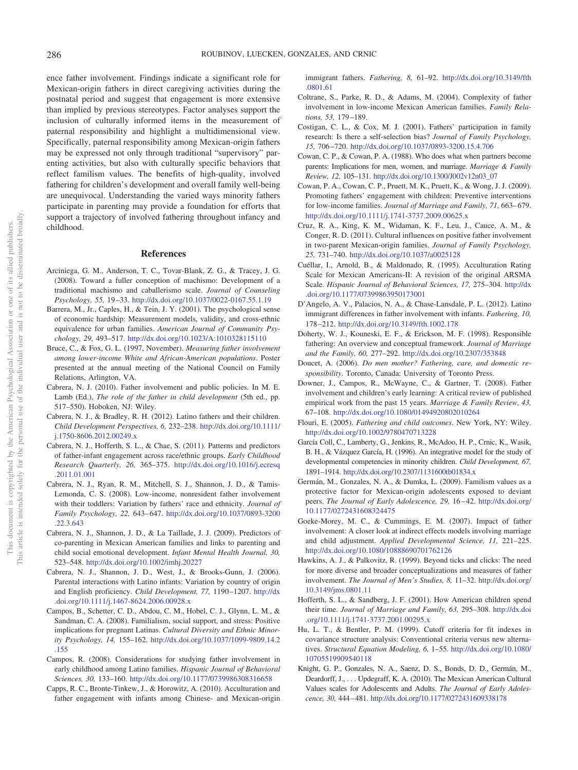ence father involvement. Findings indicate a significant role for Mexican-origin fathers in direct caregiving activities during the postnatal period and suggest that engagement is more extensive than implied by previous stereotypes. Factor analyses support the inclusion of culturally informed items in the measurement of paternal responsibility and highlight a multidimensional view. Specifically, paternal responsibility among Mexican-origin fathers may be expressed not only through traditional "supervisory" parenting activities, but also with culturally specific behaviors that reflect familism values. The benefits of high-quality, involved fathering for children's development and overall family well-being are unequivocal. Understanding the varied ways minority fathers participate in parenting may provide a foundation for efforts that support a trajectory of involved fathering throughout infancy and childhood.

# **References**

- <span id="page-9-11"></span>Arciniega, G. M., Anderson, T. C., Tovar-Blank, Z. G., & Tracey, J. G. (2008). Toward a fuller conception of machismo: Development of a traditional machismo and caballerismo scale. *Journal of Counseling Psychology, 55,* 19 –33. <http://dx.doi.org/10.1037/0022-0167.55.1.19>
- <span id="page-9-25"></span>Barrera, M., Jr., Caples, H., & Tein, J. Y. (2001). The psychological sense of economic hardship: Measurement models, validity, and cross-ethnic equivalence for urban families. *American Journal of Community Psychology, 29,* 493–517. <http://dx.doi.org/10.1023/A:1010328115110>
- <span id="page-9-23"></span>Bruce, C., & Fox, G. L. (1997, November). *Measuring father involvement among lower-income White and African-American populations*. Poster presented at the annual meeting of the National Council on Family Relations, Arlington, VA.
- <span id="page-9-28"></span>Cabrera, N. J. (2010). Father involvement and public policies. In M. E. Lamb (Ed.), *The role of the father in child development* (5th ed., pp. 517–550). Hoboken, NJ: Wiley.
- <span id="page-9-12"></span>Cabrera, N. J., & Bradley, R. H. (2012). Latino fathers and their children. *Child Development Perspectives, 6,* 232–238. [http://dx.doi.org/10.1111/](http://dx.doi.org/10.1111/j.1750-8606.2012.00249.x) [j.1750-8606.2012.00249.x](http://dx.doi.org/10.1111/j.1750-8606.2012.00249.x)
- <span id="page-9-19"></span>Cabrera, N. J., Hofferth, S. L., & Chae, S. (2011). Patterns and predictors of father-infant engagement across race/ethnic groups. *Early Childhood Research Quarterly, 26,* 365–375. [http://dx.doi.org/10.1016/j.ecresq](http://dx.doi.org/10.1016/j.ecresq.2011.01.001) [.2011.01.001](http://dx.doi.org/10.1016/j.ecresq.2011.01.001)
- <span id="page-9-13"></span>Cabrera, N. J., Ryan, R. M., Mitchell, S. J., Shannon, J. D., & Tamis-Lemonda, C. S. (2008). Low-income, nonresident father involvement with their toddlers: Variation by fathers' race and ethnicity. *Journal of Family Psychology, 22,* 643– 647. [http://dx.doi.org/10.1037/0893-3200](http://dx.doi.org/10.1037/0893-3200.22.3.643) [.22.3.643](http://dx.doi.org/10.1037/0893-3200.22.3.643)
- <span id="page-9-15"></span>Cabrera, N. J., Shannon, J. D., & La Taillade, J. J. (2009). Predictors of co-parenting in Mexican American families and links to parenting and child social emotional development. *Infant Mental Health Journal, 30,* 523–548. <http://dx.doi.org/10.1002/imhj.20227>
- <span id="page-9-16"></span>Cabrera, N. J., Shannon, J. D., West, J., & Brooks-Gunn, J. (2006). Parental interactions with Latino infants: Variation by country of origin and English proficiency. *Child Development, 77,* 1190 –1207. [http://dx](http://dx.doi.org/10.1111/j.1467-8624.2006.00928.x) [.doi.org/10.1111/j.1467-8624.2006.00928.x](http://dx.doi.org/10.1111/j.1467-8624.2006.00928.x)
- <span id="page-9-18"></span>Campos, B., Schetter, C. D., Abdou, C. M., Hobel, C. J., Glynn, L. M., & Sandman, C. A. (2008). Familialism, social support, and stress: Positive implications for pregnant Latinas. *Cultural Diversity and Ethnic Minority Psychology, 14,* 155–162. [http://dx.doi.org/10.1037/1099-9809.14.2](http://dx.doi.org/10.1037/1099-9809.14.2.155) [.155](http://dx.doi.org/10.1037/1099-9809.14.2.155)
- <span id="page-9-7"></span>Campos, R. (2008). Considerations for studying father involvement in early childhood among Latino families. *Hispanic Journal of Behavioral Sciences, 30,* 133–160. <http://dx.doi.org/10.1177/0739986308316658>
- <span id="page-9-14"></span>Capps, R. C., Bronte-Tinkew, J., & Horowitz, A. (2010). Acculturation and father engagement with infants among Chinese- and Mexican-origin

immigrant fathers. *Fathering, 8,* 61–92. [http://dx.doi.org/10.3149/fth](http://dx.doi.org/10.3149/fth.0801.61) [.0801.61](http://dx.doi.org/10.3149/fth.0801.61)

- <span id="page-9-8"></span>Coltrane, S., Parke, R. D., & Adams, M. (2004). Complexity of father involvement in low-income Mexican American families. *Family Relations, 53,* 179 –189.
- <span id="page-9-29"></span>Costigan, C. L., & Cox, M. J. (2001). Fathers' participation in family research: Is there a self-selection bias? *Journal of Family Psychology, 15,* 706 –720. <http://dx.doi.org/10.1037/0893-3200.15.4.706>
- <span id="page-9-20"></span>Cowan, C. P., & Cowan, P. A. (1988). Who does what when partners become parents: Implications for men, women, and marriage. *Marriage & Family Review, 12,* 105–131. [http://dx.doi.org/10.1300/J002v12n03\\_07](http://dx.doi.org/10.1300/J002v12n03_07)
- <span id="page-9-21"></span>Cowan, P. A., Cowan, C. P., Pruett, M. K., Pruett, K., & Wong, J. J. (2009). Promoting fathers' engagement with children: Preventive interventions for low-income families. *Journal of Marriage and Family, 71, 663–679*. <http://dx.doi.org/10.1111/j.1741-3737.2009.00625.x>
- <span id="page-9-27"></span>Cruz, R. A., King, K. M., Widaman, K. F., Leu, J., Cauce, A. M., & Conger, R. D. (2011). Cultural influences on positive father involvement in two-parent Mexican-origin families. *Journal of Family Psychology, 25,* 731–740. <http://dx.doi.org/10.1037/a0025128>
- <span id="page-9-24"></span>Cuéllar, I., Arnold, B., & Maldonado, R. (1995). Acculturation Rating Scale for Mexican Americans-II: A revision of the original ARSMA Scale. *Hispanic Journal of Behavioral Sciences, 17,* 275–304. [http://dx](http://dx.doi.org/10.1177/07399863950173001) [.doi.org/10.1177/07399863950173001](http://dx.doi.org/10.1177/07399863950173001)
- <span id="page-9-5"></span>D'Angelo, A. V., Palacios, N. A., & Chase-Lansdale, P. L. (2012). Latino immigrant differences in father involvement with infants. *Fathering, 10,* 178 –212. <http://dx.doi.org/10.3149/fth.1002.178>
- <span id="page-9-2"></span>Doherty, W. J., Kouneski, E. F., & Erickson, M. F. (1998). Responsible fathering: An overview and conceptual framework. *Journal of Marriage and the Family, 60,* 277–292. <http://dx.doi.org/10.2307/353848>
- <span id="page-9-9"></span>Doucet, A. (2006). *Do men mother? Fathering, care, and domestic responsibility*. Toronto, Canada: University of Toronto Press.
- <span id="page-9-6"></span>Downer, J., Campos, R., McWayne, C., & Gartner, T. (2008). Father involvement and children's early learning: A critical review of published empirical work from the past 15 years. *Marriage & Family Review, 43,* 67–108. <http://dx.doi.org/10.1080/01494920802010264>
- <span id="page-9-1"></span>Flouri, E. (2005). *Fathering and child outcomes*. New York, NY: Wiley. <http://dx.doi.org/10.1002/9780470713228>
- <span id="page-9-10"></span>García Coll, C., Lamberty, G., Jenkins, R., McAdoo, H. P., Crnic, K., Wasik, B. H., & Vázquez García, H. (1996). An integrative model for the study of developmental competencies in minority children. *Child Development, 67,* 1891–1914. <http://dx.doi.org/10.2307/1131600tb01834.x>
- <span id="page-9-17"></span>Germán, M., Gonzales, N. A., & Dumka, L. (2009). Familism values as a protective factor for Mexican-origin adolescents exposed to deviant peers. *The Journal of Early Adolescence, 29,* 16 – 42. [http://dx.doi.org/](http://dx.doi.org/10.1177/0272431608324475) [10.1177/0272431608324475](http://dx.doi.org/10.1177/0272431608324475)
- <span id="page-9-0"></span>Goeke-Morey, M. C., & Cummings, E. M. (2007). Impact of father involvement: A closer look at indirect effects models involving marriage and child adjustment. *Applied Developmental Science, 11,* 221–225. <http://dx.doi.org/10.1080/10888690701762126>
- <span id="page-9-3"></span>Hawkins, A. J., & Palkovitz, R. (1999). Beyond ticks and clicks: The need for more diverse and broader conceptualizations and measures of father involvement. *The Journal of Men's Studies, 8,* 11–32. [http://dx.doi.org/](http://dx.doi.org/10.3149/jms.0801.11) [10.3149/jms.0801.11](http://dx.doi.org/10.3149/jms.0801.11)
- <span id="page-9-4"></span>Hofferth, S. L., & Sandberg, J. F. (2001). How American children spend their time. *Journal of Marriage and Family, 63,* 295–308. [http://dx.doi](http://dx.doi.org/10.1111/j.1741-3737.2001.00295.x) [.org/10.1111/j.1741-3737.2001.00295.x](http://dx.doi.org/10.1111/j.1741-3737.2001.00295.x)
- <span id="page-9-26"></span>Hu, L. T., & Bentler, P. M. (1999). Cutoff criteria for fit indexes in covariance structure analysis: Conventional criteria versus new alternatives. *Structural Equation Modeling, 6,* 1–55. [http://dx.doi.org/10.1080/](http://dx.doi.org/10.1080/10705519909540118) [10705519909540118](http://dx.doi.org/10.1080/10705519909540118)
- <span id="page-9-22"></span>Knight, G. P., Gonzales, N. A., Saenz, D. S., Bonds, D. D., Germán, M., Deardorff, J.,... Updegraff, K. A. (2010). The Mexican American Cultural Values scales for Adolescents and Adults. *The Journal of Early Adolescence, 30,* 444 – 481. <http://dx.doi.org/10.1177/0272431609338178>